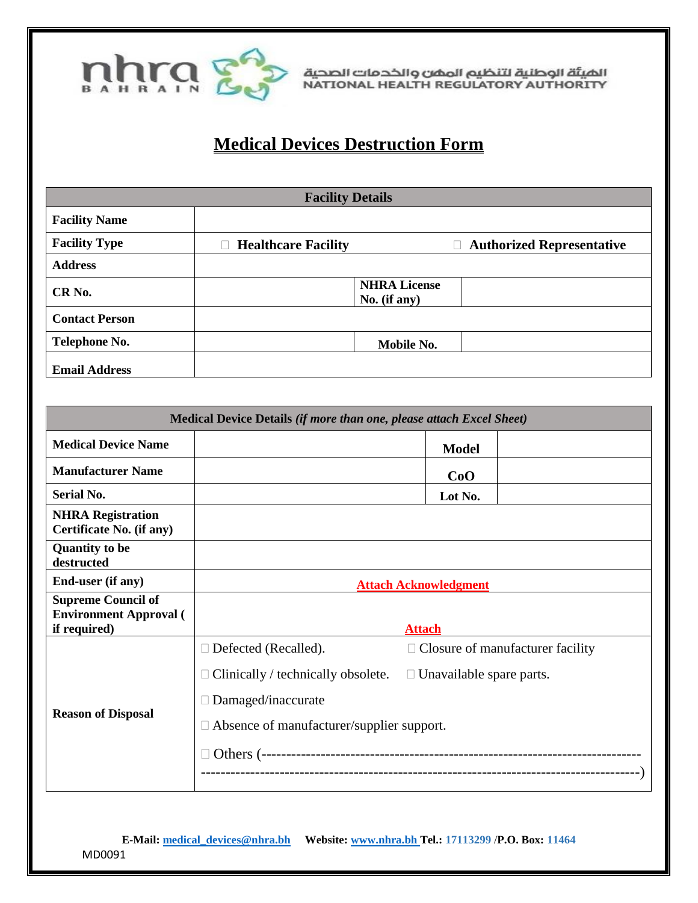

الضيئة الوطنية لتنظيم المضن والخدمات الصحية<br>NATIONAL HEALTH REGULATORY AUTHORITY

## **Medical Devices Destruction Form**

| <b>Facility Details</b> |                            |                                        |                                       |  |
|-------------------------|----------------------------|----------------------------------------|---------------------------------------|--|
| <b>Facility Name</b>    |                            |                                        |                                       |  |
| <b>Facility Type</b>    | <b>Healthcare Facility</b> |                                        | <b>Authorized Representative</b><br>П |  |
| <b>Address</b>          |                            |                                        |                                       |  |
| CR <sub>No.</sub>       |                            | <b>NHRA License</b><br>No. $(i f any)$ |                                       |  |
| <b>Contact Person</b>   |                            |                                        |                                       |  |
| Telephone No.           |                            | Mobile No.                             |                                       |  |
| <b>Email Address</b>    |                            |                                        |                                       |  |

| Medical Device Details (if more than one, please attach Excel Sheet)       |                                                          |                                         |  |  |
|----------------------------------------------------------------------------|----------------------------------------------------------|-----------------------------------------|--|--|
| <b>Medical Device Name</b>                                                 |                                                          | <b>Model</b>                            |  |  |
| <b>Manufacturer Name</b>                                                   |                                                          | CoO                                     |  |  |
| <b>Serial No.</b>                                                          |                                                          | Lot No.                                 |  |  |
| <b>NHRA Registration</b><br>Certificate No. (if any)                       |                                                          |                                         |  |  |
| <b>Quantity to be</b><br>destructed                                        |                                                          |                                         |  |  |
| End-user (if any)                                                          | <b>Attach Acknowledgment</b>                             |                                         |  |  |
| <b>Supreme Council of</b><br><b>Environment Approval (</b><br>if required) | <b>Attach</b>                                            |                                         |  |  |
| <b>Reason of Disposal</b>                                                  | Defected (Recalled).<br>$\Box$                           | $\Box$ Closure of manufacturer facility |  |  |
|                                                                            | Clinically / technically obsolete.<br>Damaged/inaccurate | $\Box$ Unavailable spare parts.         |  |  |
|                                                                            | $\Box$ Absence of manufacturer/supplier support.         |                                         |  |  |
|                                                                            |                                                          |                                         |  |  |

**E-Mail[: medical\\_devices@nhra.bh](mailto:medical_devices@nhra.bh) Website: [www.nhra.bh](http://www.nhra.bh/) Tel.: 17113299** /**P.O. Box: 11464**  MD0091